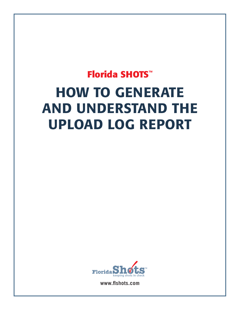## **Florida SHOTS™** HOW TO GENERATE AND UNDERSTAND THE UPLOAD LOG REPORT



**www.flshots.com**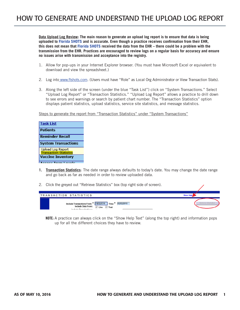**Data Upload Log Review: The main reason to generate an upload log report is to ensure that data is being uploaded to Florida SHOTS and is accurate. Even though a practice receives confirmation from their EHR, this does not mean that Florida SHOTS received the data from the EHR – there could be a problem with the transmission from the EHR. Practices are encouraged to review logs on a regular basis for accuracy and ensure no issues arise with transmission and acceptance into the registry.**

- 1. Allow for pop-ups in your Internet Explorer browser. (You must have Microsoft Excel or equivalent to download and view the spreadsheet.)
- 2. Log into www.flshots.com. (Users must have "Role" as Local Org Administrator or View Transaction Stats).
- 3. Along the left side of the screen (under the blue "Task List") click on "System Transactions." Select "Upload Log Report" or "Transaction Statistics." "Upload Log Report" allows a practice to drill down to see errors and warnings or search by patient chart number. The "Transaction Statistics" option displays patient statistics, upload statistics, service site statistics, and message statistics.

Steps to generate the report from "Transaction Statistics" under "System Transactions"

| <b>Task List</b>              |
|-------------------------------|
| <b>Patients</b>               |
| <b>Reminder Recall</b>        |
| <b>System Transactions</b>    |
| <b>Upload Log Report</b>      |
| <b>Transaction Statistics</b> |
| <b>Vaccine Inventory</b>      |
|                               |

- **1. Transaction Statistics**: The date range always defaults to today's date. You may change the date range and go back as far as needed in order to review uploaded data.
- 2. Click the greyed out "Retrieve Statistics" box (top right side of screen).

| TRANSACTION STATISTICS                                                                                                                 | <b>Show Help</b>    |
|----------------------------------------------------------------------------------------------------------------------------------------|---------------------|
| Include Transactions From: * 01/02/2016 Thru: *<br>02/02/2016<br>Include Data From: √ Live<br>$\sqrt{}$ Test<br>Inglude Occanizations: | Retrieve Statistics |

**NOTE:** A practice can always click on the "Show Help Text" (along the top right) and information pops up for all the different choices they have to review.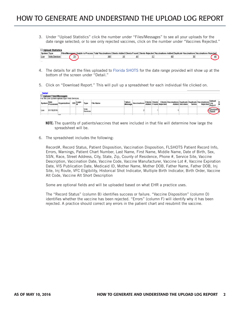3. Under "Upload Statistics" click the number under "Files/Messages" to see all your uploads for the date range selected; or to see only rejected vaccines, click on the number under "Vaccines Rejected."

|                    | $\Box$ Upload Statistics |  |         |  |  |  |  |  |  |                                                                                                                                                                  |    |
|--------------------|--------------------------|--|---------|--|--|--|--|--|--|------------------------------------------------------------------------------------------------------------------------------------------------------------------|----|
| <b>System Type</b> |                          |  |         |  |  |  |  |  |  | Files/Messages Unable to Process Total Vaccinations Clients Added Clients Found Clients Rejected Vaccinations Added Duplicate Vaccinations Vaccinations Rejected |    |
| Live               |                          |  | 70<br>∸ |  |  |  |  |  |  |                                                                                                                                                                  | 46 |
|                    |                          |  |         |  |  |  |  |  |  |                                                                                                                                                                  |    |

- 4. The details for all the files uploaded to Florida SHOTS for the date range provided will show up at the bottom of the screen under "Detail."
- 5. Click on "Download Report." This will pull up a spreadsheet for each individual file clicked on.

| <b>Detail</b><br>Upload Files/Messages<br>For the Live system upload type Web Services. |                  |              |  |           |                 |                  |                    |              |  |                        |                             |                                                              |                       |               |                 |                 |  |
|-----------------------------------------------------------------------------------------|------------------|--------------|--|-----------|-----------------|------------------|--------------------|--------------|--|------------------------|-----------------------------|--------------------------------------------------------------|-----------------------|---------------|-----------------|-----------------|--|
| System                                                                                  | Date<br>Processe | Organization |  | EID Login | Турь            | <b>File Name</b> | Failure<br>Message | Vaccinations |  | <b>Clients Clients</b> | <b>Added</b> Found Rejected | <b>Clients Vaccinations Duplicate Duplicate Vaccinations</b> | <b>Added Vaccines</b> | <b>Series</b> | <b>Rejected</b> | Upload<br>Repor |  |
| Live                                                                                    | 01/18/2016       |              |  |           | Web<br>Services |                  |                    |              |  |                        |                             |                                                              |                       |               |                 |                 |  |
|                                                                                         |                  | Inn          |  |           |                 |                  |                    |              |  |                        |                             |                                                              |                       |               |                 |                 |  |

- **NOTE:** The quantity of patients/vaccines that were included in that file will determine how large the spreadsheet will be.
- 6. The spreadsheet includes the following:

Record#, Record Status, Patient Disposition, Vaccination Disposition, FLSHOTS Patient Record Info, Errors, Warnings, Patient Chart Number, Last Name, First Name, Middle Name, Date of Birth, Sex, SSN, Race, Street Address, City, State, Zip, County of Residence, Phone #, Service Site, Vaccine Description, Vaccination Date, Vaccine Code, Vaccine Manufacturer, Vaccine Lot #, Vaccine Expiration Date, VIS Publication Date, Medicaid ID, Mother Name, Mother DOB, Father Name, Father DOB, Inj Site, Inj Route, VFC Eligibility, Historical Shot Indicator, Multiple Birth Indicator, Birth Order, Vaccine Alt Code, Vaccine Alt Short Description

Some are optional fields and will be uploaded based on what EHR a practice uses.

The "Record Status" (column B) identifies success or failure. "Vaccine Disposition" (column D) identifies whether the vaccine has been rejected. "Errors" (column F) will identify why it has been rejected. A practice should correct any errors in the patient chart and resubmit the vaccine.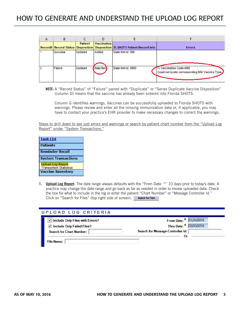| А | В                                        |                |                    |                                           |                                                                         |
|---|------------------------------------------|----------------|--------------------|-------------------------------------------|-------------------------------------------------------------------------|
|   | <b>Record# Record Status Disposition</b> | <b>Patient</b> | <b>Vaccination</b> | Disposition   FLSHOTS Patient Record Info | <b>Errors</b>                                                           |
|   | <b>Success</b>                           | Updated        | Added              | State Imm Id: 990                         |                                                                         |
|   | Failure                                  | Updated        | Rejected           | State Imm Id: 9900                        | Vaccination Code=999<br>Could not locate corresponding IMM Vaccine Type |

**NOTE:** A "Record Status" of "Failure" paired with "Duplicate" or "Series Duplicate Vaccine Disposition" (column D) means that the vaccine has already been entered into Florida SHOTS.

Column G identifies warnings. Vaccines can be successfully uploaded to Florida SHOTS with warnings. Please review and enter all the missing immunization data or, if applicable, you may have to contact your practice's EHR provider to make necessary changes to correct the warnings.

Steps to drill down to see just errors and warnings or search by patient chart number from the "Upload Log Report" under "System Transactions."

| <b>Task List</b>                                          |
|-----------------------------------------------------------|
| <b>Patients</b>                                           |
| <b>Reminder Recall</b>                                    |
| <b>System Transactions</b>                                |
| <b>Upload Log Report</b>                                  |
| <b>Transaction Statistics</b><br><b>Vaccine Inventory</b> |

**1. Upload Log Report**: The date range always defaults with the "From Date: \*" 10 days prior to today's date. A practice may change the date range and go back as far as needed in order to review uploaded data. Check the box for what to include in the log or enter the patient "Chart Number" or "Message Controller Id." Click on "Search for Files" (top right side of screen). Search for Files

| UPLOAD LOG CRITERIA                        |                                   |
|--------------------------------------------|-----------------------------------|
| √ Include Only Files with Errors?          | From Date: * 01/24/2016           |
| $\triangledown$ Include Only Failed Files? | Thru Date: * 02/03/2016           |
| Search for Chart Number:                   | Search for Message Controller Id: |
|                                            |                                   |
| <b>File Name:</b>                          |                                   |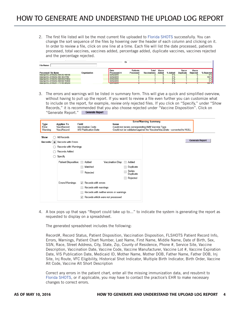2. The first file listed will be the most current file uploaded to Florida SHOTS successfully. You can change the sort sequence of the files by hovering over the header of each column and clicking on it. In order to review a file, click on one line at a time. Each file will list the date processed, patients processed, total vaccines, vaccines added, percentage added, duplicate vaccines, vaccines rejected and the percentage rejected.

|                                   |              |                    | Оr              |                     |       |            |                  |                 |              |
|-----------------------------------|--------------|--------------------|-----------------|---------------------|-------|------------|------------------|-----------------|--------------|
| <b>File Name:</b>                 |              |                    |                 |                     |       |            |                  |                 |              |
|                                   |              | Date               | <b>Patients</b> | Total               | Vaccs |            | Vaccs            | Vaccs           |              |
| <b>Processed File Name</b>        | Organization | <b>Processed A</b> | Processed       | <b>Vaccinations</b> | Added | % Added    | <b>Duplicate</b> | <b>Rejected</b> | % Rejected   |
| InterOpVXU.20160202.094343.196109 |              | 02/02/2016         |                 |                     |       | 0%         |                  |                 | 0%           |
| InterOpVXU.20160202.093140.47552  |              | 02/02/2016         |                 |                     |       | 0%         |                  |                 | 100 %        |
| InterOpVXU.20160202.092618.970854 |              | 02/02/2016         |                 |                     |       | 0 %        |                  |                 | 0%           |
| InterOpVXU.20160202.092538.784048 |              | 02/02/2016         |                 |                     |       | 0 %        |                  |                 | 0%           |
| InterOpVXU.20160201.173105.385204 |              | UZIUHZUIO          |                 |                     |       | <b>U</b> % |                  |                 | <b>TUU %</b> |

3. The errors and warnings will be listed in summary form. This will give a quick and simplified overview, without having to pull up the report. If you want to review a file even further you can customize what to include on the report, for example, review only rejected files. If you click on "Specify," under "Show Records," it is recommended that you also choose rejected under "Vaccine Disposition". Click on "Generate Report."

| Error<br>VaccRecord<br><b>Vaccination Code</b><br>Could not locate corresponding IMM Vaccine Type.<br>VaccRecord<br><b>VIS Publication Date</b><br>Could not be validated against the Vaccine/VaccDate - converted to NULL.<br>Warning<br>All Records<br>Show<br>Records with Warnings<br>Records Added<br>Specify<br>Patient Disposition:<br>Vaccination Disp:<br>Added<br>Added<br>Matched<br>Duplicate<br>Series<br>Rejected<br>Duplicate<br>Rejected<br>Records with errors<br>Errors/Warnings:<br>$\checkmark$<br>Records with warnings<br>Records with neither errors or warnings |      |                   |              |              | <b>Error/Warning Summary</b> |
|-----------------------------------------------------------------------------------------------------------------------------------------------------------------------------------------------------------------------------------------------------------------------------------------------------------------------------------------------------------------------------------------------------------------------------------------------------------------------------------------------------------------------------------------------------------------------------------------|------|-------------------|--------------|--------------|------------------------------|
| Records: <sup>O</sup> Records with Errors                                                                                                                                                                                                                                                                                                                                                                                                                                                                                                                                               | Type | <b>Applies To</b> | Field        | <b>Issue</b> |                              |
|                                                                                                                                                                                                                                                                                                                                                                                                                                                                                                                                                                                         |      |                   |              |              |                              |
|                                                                                                                                                                                                                                                                                                                                                                                                                                                                                                                                                                                         |      |                   |              |              | <b>Generate Report</b>       |
|                                                                                                                                                                                                                                                                                                                                                                                                                                                                                                                                                                                         |      |                   |              |              |                              |
|                                                                                                                                                                                                                                                                                                                                                                                                                                                                                                                                                                                         |      |                   |              |              |                              |
|                                                                                                                                                                                                                                                                                                                                                                                                                                                                                                                                                                                         |      |                   |              |              |                              |
|                                                                                                                                                                                                                                                                                                                                                                                                                                                                                                                                                                                         |      |                   |              |              |                              |
|                                                                                                                                                                                                                                                                                                                                                                                                                                                                                                                                                                                         |      |                   |              |              |                              |
|                                                                                                                                                                                                                                                                                                                                                                                                                                                                                                                                                                                         |      |                   |              |              |                              |
|                                                                                                                                                                                                                                                                                                                                                                                                                                                                                                                                                                                         |      |                   |              |              |                              |
|                                                                                                                                                                                                                                                                                                                                                                                                                                                                                                                                                                                         |      |                   |              |              |                              |
|                                                                                                                                                                                                                                                                                                                                                                                                                                                                                                                                                                                         |      |                   |              |              |                              |
|                                                                                                                                                                                                                                                                                                                                                                                                                                                                                                                                                                                         |      |                   |              |              |                              |
| Records which were not processed                                                                                                                                                                                                                                                                                                                                                                                                                                                                                                                                                        |      |                   | $\checkmark$ |              |                              |

4. A box pops up that says "Report could take up to..." to indicate the system is generating the report as requested to display on a spreadsheet.

The generated spreadsheet includes the following:

Record#, Record Status, Patient Disposition, Vaccination Disposition, FLSHOTS Patient Record Info, Errors, Warnings, Patient Chart Number, Last Name, First Name, Middle Name, Date of Birth, Sex, SSN, Race, Street Address, City, State, Zip, County of Residence, Phone #, Service Site, Vaccine Description, Vaccination Date, Vaccine Code, Vaccine Manufacturer, Vaccine Lot #, Vaccine Expiration Date, VIS Publication Date, Medicaid ID, Mother Name, Mother DOB, Father Name, Father DOB, Inj Site, Inj Route, VFC Eligibility, Historical Shot Indicator, Multiple Birth Indicator, Birth Order, Vaccine Alt Code, Vaccine Alt Short Description

Correct any errors in the patient chart, enter all the missing immunization data, and resubmit to Florida SHOTS, or if applicable, you may have to contact the practice's EHR to make necessary changes to correct errors.